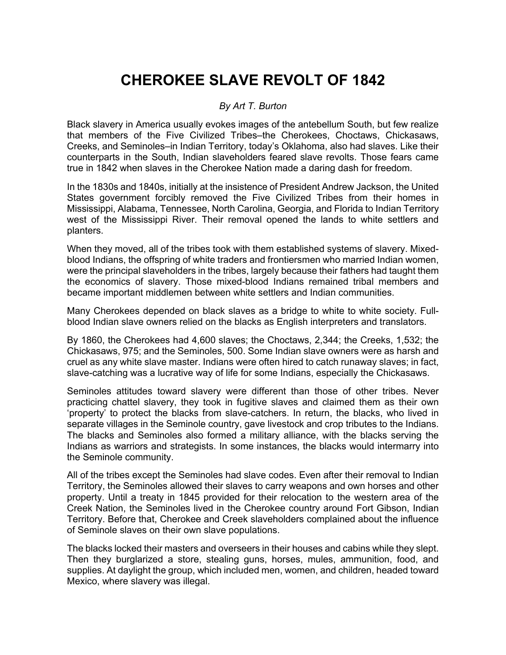## **CHEROKEE SLAVE REVOLT OF 1842**

## *By Art T. Burton*

Black slavery in America usually evokes images of the antebellum South, but few realize that members of the Five Civilized Tribes–the Cherokees, Choctaws, Chickasaws, Creeks, and Seminoles–in Indian Territory, today's Oklahoma, also had slaves. Like their counterparts in the South, Indian slaveholders feared slave revolts. Those fears came true in 1842 when slaves in the Cherokee Nation made a daring dash for freedom.

In the 1830s and 1840s, initially at the insistence of President Andrew Jackson, the United States government forcibly removed the Five Civilized Tribes from their homes in Mississippi, Alabama, Tennessee, North Carolina, Georgia, and Florida to Indian Territory west of the Mississippi River. Their removal opened the lands to white settlers and planters.

When they moved, all of the tribes took with them established systems of slavery. Mixedblood Indians, the offspring of white traders and frontiersmen who married Indian women, were the principal slaveholders in the tribes, largely because their fathers had taught them the economics of slavery. Those mixed-blood Indians remained tribal members and became important middlemen between white settlers and Indian communities.

Many Cherokees depended on black slaves as a bridge to white to white society. Fullblood Indian slave owners relied on the blacks as English interpreters and translators.

By 1860, the Cherokees had 4,600 slaves; the Choctaws, 2,344; the Creeks, 1,532; the Chickasaws, 975; and the Seminoles, 500. Some Indian slave owners were as harsh and cruel as any white slave master. Indians were often hired to catch runaway slaves; in fact, slave-catching was a lucrative way of life for some Indians, especially the Chickasaws.

Seminoles attitudes toward slavery were different than those of other tribes. Never practicing chattel slavery, they took in fugitive slaves and claimed them as their own 'property' to protect the blacks from slave-catchers. In return, the blacks, who lived in separate villages in the Seminole country, gave livestock and crop tributes to the Indians. The blacks and Seminoles also formed a military alliance, with the blacks serving the Indians as warriors and strategists. In some instances, the blacks would intermarry into the Seminole community.

All of the tribes except the Seminoles had slave codes. Even after their removal to Indian Territory, the Seminoles allowed their slaves to carry weapons and own horses and other property. Until a treaty in 1845 provided for their relocation to the western area of the Creek Nation, the Seminoles lived in the Cherokee country around Fort Gibson, Indian Territory. Before that, Cherokee and Creek slaveholders complained about the influence of Seminole slaves on their own slave populations.

The blacks locked their masters and overseers in their houses and cabins while they slept. Then they burglarized a store, stealing guns, horses, mules, ammunition, food, and supplies. At daylight the group, which included men, women, and children, headed toward Mexico, where slavery was illegal.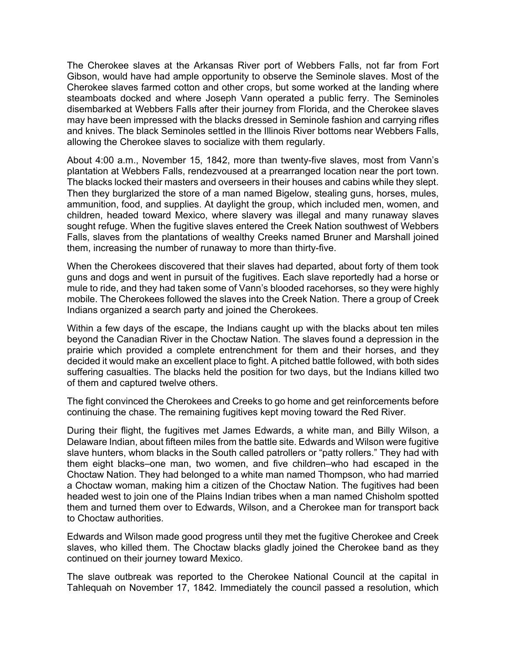The Cherokee slaves at the Arkansas River port of Webbers Falls, not far from Fort Gibson, would have had ample opportunity to observe the Seminole slaves. Most of the Cherokee slaves farmed cotton and other crops, but some worked at the landing where steamboats docked and where Joseph Vann operated a public ferry. The Seminoles disembarked at Webbers Falls after their journey from Florida, and the Cherokee slaves may have been impressed with the blacks dressed in Seminole fashion and carrying rifles and knives. The black Seminoles settled in the Illinois River bottoms near Webbers Falls, allowing the Cherokee slaves to socialize with them regularly.

About 4:00 a.m., November 15, 1842, more than twenty-five slaves, most from Vann's plantation at Webbers Falls, rendezvoused at a prearranged location near the port town. The blacks locked their masters and overseers in their houses and cabins while they slept. Then they burglarized the store of a man named Bigelow, stealing guns, horses, mules, ammunition, food, and supplies. At daylight the group, which included men, women, and children, headed toward Mexico, where slavery was illegal and many runaway slaves sought refuge. When the fugitive slaves entered the Creek Nation southwest of Webbers Falls, slaves from the plantations of wealthy Creeks named Bruner and Marshall joined them, increasing the number of runaway to more than thirty-five.

When the Cherokees discovered that their slaves had departed, about forty of them took guns and dogs and went in pursuit of the fugitives. Each slave reportedly had a horse or mule to ride, and they had taken some of Vann's blooded racehorses, so they were highly mobile. The Cherokees followed the slaves into the Creek Nation. There a group of Creek Indians organized a search party and joined the Cherokees.

Within a few days of the escape, the Indians caught up with the blacks about ten miles beyond the Canadian River in the Choctaw Nation. The slaves found a depression in the prairie which provided a complete entrenchment for them and their horses, and they decided it would make an excellent place to fight. A pitched battle followed, with both sides suffering casualties. The blacks held the position for two days, but the Indians killed two of them and captured twelve others.

The fight convinced the Cherokees and Creeks to go home and get reinforcements before continuing the chase. The remaining fugitives kept moving toward the Red River.

During their flight, the fugitives met James Edwards, a white man, and Billy Wilson, a Delaware Indian, about fifteen miles from the battle site. Edwards and Wilson were fugitive slave hunters, whom blacks in the South called patrollers or "patty rollers." They had with them eight blacks–one man, two women, and five children–who had escaped in the Choctaw Nation. They had belonged to a white man named Thompson, who had married a Choctaw woman, making him a citizen of the Choctaw Nation. The fugitives had been headed west to join one of the Plains Indian tribes when a man named Chisholm spotted them and turned them over to Edwards, Wilson, and a Cherokee man for transport back to Choctaw authorities.

Edwards and Wilson made good progress until they met the fugitive Cherokee and Creek slaves, who killed them. The Choctaw blacks gladly joined the Cherokee band as they continued on their journey toward Mexico.

The slave outbreak was reported to the Cherokee National Council at the capital in Tahlequah on November 17, 1842. Immediately the council passed a resolution, which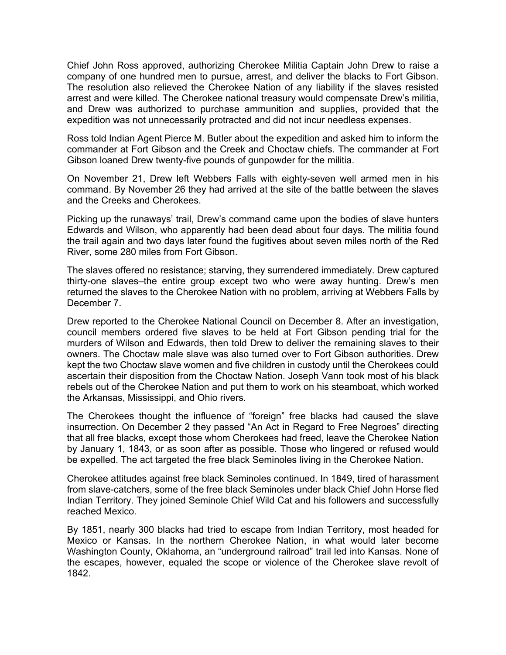Chief John Ross approved, authorizing Cherokee Militia Captain John Drew to raise a company of one hundred men to pursue, arrest, and deliver the blacks to Fort Gibson. The resolution also relieved the Cherokee Nation of any liability if the slaves resisted arrest and were killed. The Cherokee national treasury would compensate Drew's militia, and Drew was authorized to purchase ammunition and supplies, provided that the expedition was not unnecessarily protracted and did not incur needless expenses.

Ross told Indian Agent Pierce M. Butler about the expedition and asked him to inform the commander at Fort Gibson and the Creek and Choctaw chiefs. The commander at Fort Gibson loaned Drew twenty-five pounds of gunpowder for the militia.

On November 21, Drew left Webbers Falls with eighty-seven well armed men in his command. By November 26 they had arrived at the site of the battle between the slaves and the Creeks and Cherokees.

Picking up the runaways' trail, Drew's command came upon the bodies of slave hunters Edwards and Wilson, who apparently had been dead about four days. The militia found the trail again and two days later found the fugitives about seven miles north of the Red River, some 280 miles from Fort Gibson.

The slaves offered no resistance; starving, they surrendered immediately. Drew captured thirty-one slaves–the entire group except two who were away hunting. Drew's men returned the slaves to the Cherokee Nation with no problem, arriving at Webbers Falls by December 7.

Drew reported to the Cherokee National Council on December 8. After an investigation, council members ordered five slaves to be held at Fort Gibson pending trial for the murders of Wilson and Edwards, then told Drew to deliver the remaining slaves to their owners. The Choctaw male slave was also turned over to Fort Gibson authorities. Drew kept the two Choctaw slave women and five children in custody until the Cherokees could ascertain their disposition from the Choctaw Nation. Joseph Vann took most of his black rebels out of the Cherokee Nation and put them to work on his steamboat, which worked the Arkansas, Mississippi, and Ohio rivers.

The Cherokees thought the influence of "foreign" free blacks had caused the slave insurrection. On December 2 they passed "An Act in Regard to Free Negroes" directing that all free blacks, except those whom Cherokees had freed, leave the Cherokee Nation by January 1, 1843, or as soon after as possible. Those who lingered or refused would be expelled. The act targeted the free black Seminoles living in the Cherokee Nation.

Cherokee attitudes against free black Seminoles continued. In 1849, tired of harassment from slave-catchers, some of the free black Seminoles under black Chief John Horse fled Indian Territory. They joined Seminole Chief Wild Cat and his followers and successfully reached Mexico.

By 1851, nearly 300 blacks had tried to escape from Indian Territory, most headed for Mexico or Kansas. In the northern Cherokee Nation, in what would later become Washington County, Oklahoma, an "underground railroad" trail led into Kansas. None of the escapes, however, equaled the scope or violence of the Cherokee slave revolt of 1842.